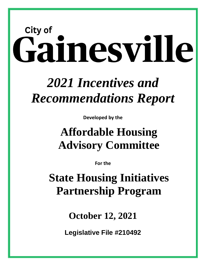# **City of** Gainesville

# *2021 Incentives and Recommendations Report*

**Developed by the**

# **Affordable Housing Advisory Committee**

**For the** 

**State Housing Initiatives Partnership Program**

**October 12, 2021**

**Legislative File #210492**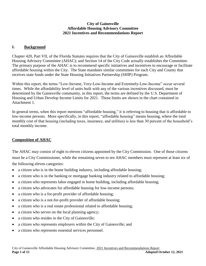#### **City of Gainesville Affordable Housing Advisory Committee 2021 Incentives and Recommendations Report**

# **I. Background**

Chapter 420, Part VII, of the Florida Statutes requires that the City of Gainesville establish an Affordable Housing Advisory Committee (AHAC); and Section 14 of the City Code actually establishes the Committee. The primary purpose of the AHAC is to recommend specific initiatives and incentives to encourage or facilitate affordable housing within the City. The State mandates similar committees for each City and County that receives state funds under the State Housing Initiatives Partnership (SHIP) Program.

Within this report, the terms "Low-Income, Very-Low-Income and Extremely-Low-Income" occur several times. While the affordability level of units built with any of the various incentives discussed, must be determined by the Gainesville community, in this report, the terms are defined by the U.S. Department of Housing and Urban Develop Income Limits for 2021. Those limits are shown in the chart contained in Attachment 1.

In general terms, when this report mentions "affordable housing," it is referring to housing that is affordable to low-income persons. More specifically, in this report, "affordable housing" means housing, where the total monthly cost of that housing (including taxes, insurance, and utilities) is less than 30 percent of the household's total monthly income.

#### **Composition of AHAC**

The AHAC may consist of eight to eleven citizens appointed by the City Commission. One of those citizens must be a City Commissioner, while the remaining seven to ten AHAC members must represent at least six of the following eleven categories:

- a citizen who is in the home building industry, including affordable housing;
- a citizen who is in the banking or mortgage banking industry related to affordable housing;
- a citizen who represents labor engaged in home building, including affordable housing;
- a citizen who advocates for affordable housing for low-income persons;
- a citizen who is a for-profit provider of affordable housing;
- a citizen who is a not-for-profit provider of affordable housing;
- a citizen who is a real estate professional related to affordable housing;
- a citizen who serves on the local planning agency;
- a citizen who resides in the City of Gainesville;
- a citizen who represents employers within the City of Gainesville; and
- a citizen who represents essential services personnel.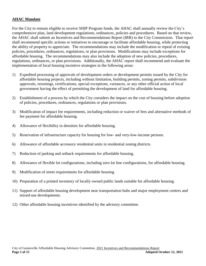#### **AHAC Mandate**

For the City to remain eligible to receive SHIP Program funds, the AHAC shall annually review the City's comprehensive plan, land development regulations, ordinances, policies and procedures. Based on that review, the AHAC shall submit an Incentives and Recommendations Report (IRR) to the City Commission. That report shall recommend specific actions or initiatives to encourage or facilitate affordable housing, while protecting the ability of property to appreciate. The recommendations may include the modification or repeal of existing policies, procedures, ordinances, regulations, or plan provisions. Modifications may include exceptions for affordable housing. The recommendations may also include the adoption of new policies, procedures, regulations, ordinances, or plan provisions. Additionally, the AHAC report shall recommend and evaluate the implementation of local housing incentive strategies in the following areas:

- 1) Expedited processing of approvals of development orders or development permits issued by the City for affordable housing projects, including without limitation, building permits, zoning permits, subdivision approvals, rezonings, certifications, special exceptions, variances, or any other official action of local government having the effect of permitting the development of land for affordable housing.
- 2) Establishment of a process by which the City considers the impact on the cost of housing before adoption of policies, procedures, ordinances, regulations or plan provisions.
- 3) Modification of impact fee requirements, including reduction or waiver of fees and alternative methods of fee payment for affordable housing.
- 4) Allowance of flexibility in densities for affordable housing.
- 5) Reservation of infrastructure capacity for housing for low- and very-low-income persons.
- 6) Allowance of affordable accessory residential units in residential zoning districts.
- 7) Reduction of parking and setback requirements for affordable housing.
- 8) Allowance of flexible lot configurations, including zero lot line configurations, for affordable housing.
- 9) Modification of street requirements for affordable housing.
- 10) Preparation of a printed inventory of locally owned public lands suitable for affordable housing.
- 11) Support of affordable housing development near transportation hubs and major employment centers and mixed-use developments.
- 12) Other affordable housing incentives identified by the advisory committee.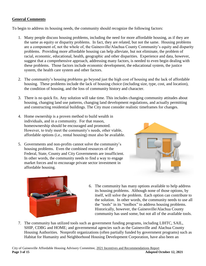# **General Comments**

To begin to address its housing needs, the community should recognize the following factors:

- 1. Many people discuss housing problems, including the need for more affordable housing, as if they are the same as equity or disparity problems. In fact, they are related, but not the same. Housing problems are a component of, not the whole of, the Gainesville/Alachua County Community's equity and disparity problems. Providing more affordable housing can help alleviate, but not eliminate, the problem of racial, economic, educational, health, geographic and other disparities. Experience and data, however, suggest that a comprehensive approach, addressing many factors, is needed to even begin dealing with these problems. Those factors include economic development, the educational system, the justice system, the health care system and other factors.
- 2. The community's housing problems go beyond just the high cost of housing and the lack of affordable housing. These problems include the lack of housing choice (including size, type, cost, and location), the condition of housing, and the loss of community history and character.
- 3. There is no quick fix. Any solution will take time. This includes changing community attitudes about housing, changing land use patterns, changing land development regulations, and actually permitting and constructing residential buildings. The City must consider realistic timeframes for changes.
- 4. Home ownership is a proven method to build wealth in individuals, and in a community. For that reason, homeownership should be encouraged and promoted. However, to truly meet the community's needs, other viable, affordable options (i.e., rental housing) must also be available.
- 5. Governments and non-profits cannot solve the community's housing problems. Even the combined resources of the Federal, State, County and City Governments are insufficient. In other words, the community needs to find a way to engage market forces and to encourage private sector investment in affordable housing.





- 6. The community has many options available to help address its housing problems. Although none of those options, by itself, will solve the problem. Each option can contribute to the solution. In other words, the community needs to use all the "tools" in its "toolbox" to address housing problems. Historically, however, the Gainesville/Alachua County community has used some, but not all of the available tools.
- 7. The community has utilized tools such as government funding programs, including LIHTC, SAIL, SHIP, CDBG and HOME; and governmental agencies such as the Gainesville and Alachua County Housing Authorities. Nonprofit organizations (often partially funded by government programs) such as Habitat for Humanity and Neighborhood Housing Development Corporation, have also been an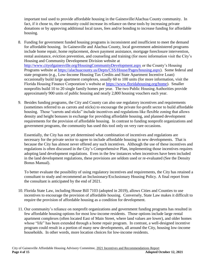important tool used to provide affordable housing in the Gainesville/Alachua County community. In fact, if it chose to, the community could increase its reliance on these tools by increasing private donations or by approving additional local taxes, fees and/or bonding to increase funding for affordable housing.

- 8. Funding for government funded housing programs is inconsistent and insufficient to meet the demand for affordable housing. In Gainesville and Alachua County, local government administered programs include home repair, home replacement, down payment assistance, mortgage foreclosure intervention, rental assistance, eviction prevention, and counseling and training (for more information visit the City's Housing and Community Development Division website at <http://www.cityofgainesville.org/HousingCommunityDevelopment.aspx> or the County's Housing Programs website at [https://alachuacounty.us/Depts/CSS/House/Pages/housing.aspx\)](https://alachuacounty.us/Depts/CSS/House/Pages/housing.aspx). Some federal and state programs (e.g., Low-Income Housing Tax Credits and State Apartment Incentive Loan) occasionally build large apartment complexes, usually 60 to 100 units (for more information, visit the Florida Housing Finance Corporation's website at [https://www.floridahousing.org/home\)](https://www.floridahousing.org/home). Smaller nonprofits build 10 to 20 single family homes per year. The two Public Housing Authorities provide approximately 900 units of public housing and nearly 2,800 housing vouchers each year.
- 9. Besides funding programs, the City and County can also use regulatory incentives and requirements (sometimes referred to as carrots and sticks) to encourage the private for-profit sector to build affordable housing. Those "carrots and sticks" include incentives and regulations like flexible zoning that allows density and height bonuses in exchange for providing affordable housing, and planned development requirements for the provision of affordable housing. In contrast to funding nonprofit organizations and government programs, the community has used this tool only on very rare occasions.

Essentially, the City has not yet determined what combination of incentives and regulations are necessary for the private sector to agree to include affordable housing in new developments. That is because the City has almost never offered any such incentives. Although the use of these incentives and regulations is often discussed in the City's Comprehensive Plan, implementing those incentives requires adopting land development regulations. Even in the few instances when incentives have been included in the land development regulations, these provisions are seldom used or re-evaluated (See the Density Bonus Manual).

To better evaluate the possibility of using regulatory incentives and requirements, the City has retained a consultant to study and recommend an Inclusionary/Exclusionary Housing Policy. A final report from the consultant is anticipated by the end of 2021.

- 10. Florida State Law, including House Bill 7103 (adopted in 2019), allows Cities and Counties to use incentives to encourage the provision of affordable housing. Conversely, State Law makes it difficult to require the provision of affordable housing as a condition for development.
- 11. Our community's reliance on nonprofit organizations and government funding programs has resulted in few affordable housing options for most low-income residents. Those options include large rental apartment complexes (often located East of Main Street, where land values are lower), and older homes whose "life" has been extended through a home repair program. In contrast, a well-designed incentive program could result in a portion of many new developments, all around the City, housing low-income households. In other words, more location choices for low-income residents.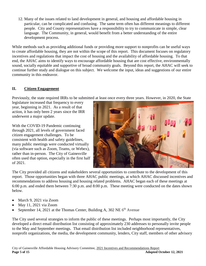12. Many of the issues related to land development in general, and housing and affordable housing in particular, can be complicated and confusing. The same term often has different meanings to different people. City and County representatives have a responsibility to try to communicate in simple, clear language. The Community, in general, would benefit from a better understanding of the entire development process.

While methods such as providing additional funds or providing more support to nonprofits can be useful ways to create affordable housing, they are not within the scope of this report. This document focuses on regulatory incentives and regulations that impact the cost of housing and the availability of affordable housing. To that end, the AHAC aims to identify ways to encourage affordable housing that are cost effective, environmentally sound, socially equitable and supportive of broad community goals. Beyond this report, the AHAC will seek to continue further study and dialogue on this subject. We welcome the input, ideas and suggestions of our entire community in this endeavor.

# **II. Citizen Engagement**

Previously, the state required IRRs to be submitted at least once every three years. However, in 2020, the State

legislature increased that frequency to every year, beginning in 2021. As a result of that action, it has only been 2 years since the IRR underwent a major update.

With the COVID-19 Pandemic continuing through 2021, all levels of government faced citizen engagement challenges. To be consistent with health and safety guidelines, many public meetings were conducted virtually (via software such as Zoom, Teams, or Webex), rather than in-person. The City of Gainesville often used that option, especially in the first half of 2021.



The City provided all citizens and stakeholders several opportunities to contribute to the development of this report. Those opportunities began with three AHAC public meetings, at which AHAC discussed incentives and recommendations to address housing and housing related problems. AHAC began each of these meetings at 6:00 p.m. and ended them between 7:30 p.m. and 8:00 p.m. These meeting were conducted on the dates shown below.

- March 9, 2021 via Zoom
- $\bullet$  May 11, 2021 via Zoom
- September 14, 2021 at the Thomas Center, Building A, 302 NE  $6<sup>th</sup>$  Avenue

The City used several strategies to inform the public of these meetings. Perhaps most importantly, the City developed a direct email distribution list consisting of approximately 230 addresses to personally invite people to the May and September meetings. That email distribution list included neighborhood representatives, nonprofit organizations, the media, the development community, lenders, City staff, members of other advisory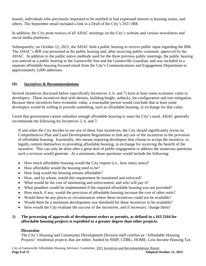boards, individuals who previously requested to be notified or had expressed interest in housing issues, and others. The September email included a link to a Draft of the City's 2021 IRR.

In addition, the City posts notices of all AHAC meetings on the City's website and various newsletters and social media platforms.

Subsequently, on October 12, 2021, the AHAC held a public hearing to receive public input regarding the IRR. The AHAC's IRR was presented at the public hearing and, after receiving public comment, approved by the AHAC. In addition to the public notice methods used for the three previous public meetings, the public hearing was noticed as a public hearing in the Gainesville Sun and the Gainesville Guardian; and was included in a separate affordable housing focused email from the City's Communications and Engagement Department to approximately 3,000 addresses.

# **III. Incentives & Recommendations**

Several incentives discussed below (specifically Incentives 3, 6, and 7) have at least some economic value to developers. These incentives deal with density, building height, setbacks, lot configuration and tree mitigation. Because these incentives have economic value, a reasonable person would conclude that at least some developers would be willing to provide something, such as affordable housing, in exchange for that value.

Given that government cannot subsidize enough affordable housing to meet the City's need, AHAC generally recommends the following for Incentives 3, 6, and 7:

If and when the City decides to use any of these four incentives, the City should significantly revise its Comprehensive Plan and Land Development Regulations to link any use of the incentives to the provision of affordable housing. Essentially, this means requiring developers that choose to accept the incentive, to legally commit themselves to providing affordable housing, in exchange for receiving the benefit of the incentive. This can only be done after a great deal of public engagement to address the numerous questions such a revision would generate. At a minimum, those questions would include the following:

- How much affordable housing would the City require (i.e., how many units)?
- How affordable would the housing need to be?
- How long would the housing remain affordable?
- How, and by whom, would this requirement be monitored and enforced?
- What would be the cost of monitoring and enforcement, and who will pay it?
- What penalties would be implemented if the required affordable housing was not provided?
- How much, if any, would the provision of affordable housing increase the cost of other units?
- Would there be any places or circumstances where these incentives could not be available?
- Would there be a minimum development size threshold for these incentives to be available?
- How would the City evaluate the success of the incentives, and if necessary, change them?

# **1) The processing of approvals of development orders or permits, as defined in s.163.3164 for affordable housing projects is expedited to a greater degree than other projects.**

# **Discussion**

The City's Housing and Community Development Division staff certifies as "Affordable Housing Projects" residential projects that are either, funded by SHIP, CDBG, HOME, Low-Income Housing Tax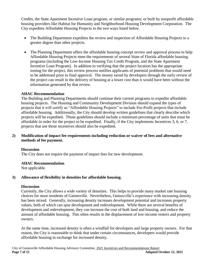Credits, the State Apartment Incentive Loan program, or similar programs; or built by nonprofit affordable housing providers like Habitat for Humanity and Neighborhood Housing Development Corporation. The City expedites Affordable Housing Projects in the two ways listed below.

- The Building Department expedites the review and inspection of Affordable Housing Projects to a greater degree than other projects.
- The Planning Department offers the affordable housing concept review and approval process to help Affordable Housing Projects meet the requirements of several State of Florida affordable housing programs (including the Low-Income Housing Tax Credit Program, and the State Apartment Incentive Loan Program). In addition to verifying that the project location has the appropriate zoning for the project, this review process notifies applicants of potential problems that would need to be addressed prior to final approval. The money saved by developers through the early review of the project can result in the delivery of housing at a lower cost than it would have been without the information generated by that review.

# **AHAC Recommendation**

The Building and Planning Departments should continue their current programs to expedite affordable housing projects. The Housing and Community Development Division should expand the types of projects that it will certify as "Affordable Housing Projects" to include For-Profit projects that include affordable housing. Additionally, the City should develop written guidelines that clearly describe which projects will be expedited. Those guidelines should include a minimum percentage of units that must be affordable in order for the project to be expedited. Finally, if the City implements Incentives 3, 6, or 7, projects that use those incentives should also be expedited.

# **2) Modification of impact fee requirements including reduction or waiver of fees and alternative methods of fee payment.**

#### **Discussion**

The City does not require the payment of impact fees for new development.

#### **AHAC Recommendation**

Not applicable.

# **3) Allowance of flexibility in densities for affordable housing.**

#### **Discussion**

Currently, the City allows a wide variety of densities. This helps to provide many market rate housing choices for most residents of Gainesville. Nevertheless, Gainesville's experience with increasing density has been mixed. Generally, increasing density increases development potential and increases property values, both of which can spur development and redevelopment. While there are several benefits of development and redevelopment, they can increase the cost of both land and housing, and reduce the amount of affordable housing. This often results in the displacement of low-income renters and property owners.

At the same time, increased density is often a windfall for developers and large property owners. For that reason, the City is reasonable to think that under certain circumstances, developers would provide affordable housing in exchange for increased density.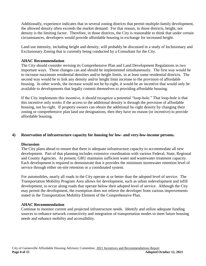Additionally, experience indicates that in several zoning districts that permit multiple-family development, the allowed density often exceeds the market demand. For that reason, in those districts, height, not density is the limiting factor. Therefore, in those districts, the City is reasonable to think that under certain circumstances, developers would provide affordable housing in exchange for increased height.

Land use intensity, including height and density, will probably be discussed in a study of Inclusionary and Exclusionary Zoning that is currently being conducted by a Consultant for the City.

#### **AHAC Recommendation**

The City should consider revising its Comprehensive Plan and Land Development Regulations in two important ways. These changes can and should be implemented simultaneously. The first way would be to increase maximum residential densities and/or height limits, in at least some residential districts. The second way would be to link any density and/or height limit increase to the provision of affordable housing. In other words, the increase would not be by-right, it would be an incentive that would only be available to developments that legally commit themselves to providing affordable housing.

If the City implements this incentive, it should recognize a potential "loop-hole." That loop-hole is that this incentive only works if the access to the additional density is through the provision of affordable housing, not by-right. If property owners can obtain the additional by-right density by changing their zoning or comprehensive plan land use designations, then they have no reason (or incentive) to provide affordable housing.

#### **4) Reservation of infrastructure capacity for housing for low- and very-low-income persons.**

#### **Discussion**

The City plans ahead to ensure that there is adequate infrastructure capacity to accommodate all new development. Part of that planning includes extensive coordination with various Federal, State, Regional and County Agencies. At present, GRU maintains sufficient water and wastewater treatment capacity. Each development is required to demonstrate that it provides the minimum stormwater retention level of service through either on-site retention or a coordinated system.

For automobiles, nearly all roads in the City operate at or better than the adopted level of service. The Transportation Mobility Program Area allows for development, such as urban redevelopment and infill development, to occur along roads that operate below their adopted level of service. Although the City may permit the development, the exemption does not relieve the developer from various improvements stated in the Transportation Mobility Element of the Comprehensive Plan.

#### **AHAC Recommendation**

Continue to monitor current and projected infrastructure needs. Identify and utilize adequate funding sources to enhance network connectivity and integration of transportation modes to meet future housing needs and enhance mobility and accessibility.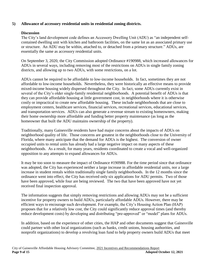#### **5) Allowance of accessory residential units in residential zoning districts.**

#### **Discussion**

The City's land development code defines an Accessory Dwelling Unit (ADU) as "an independent selfcontained dwelling unit with kitchen and bathroom facilities, on the same lot as an associated primary use or structure. An ADU may be within, attached to, or detached from a primary structure." ADUs, are essentially the same as accessory residential units.

On September 3, 2020, the City Commission adopted Ordinance #190988, which increased allowances for ADUs in several ways, including removing most of the restrictions on ADUs in single family zoning districts, and allowing up to two ADUs, with some restrictions, on a lot.

ADUs cannot be required to be affordable to low-income households. In fact, sometimes they are not affordable to low-income households. Nevertheless, they were historically an effective means to provide mixed-income housing widely dispersed throughout the City. In fact, some ADUs currently exist in several of the City's older single-family residential neighborhoods. A potential benefit of ADUs is that they can provide affordable housing at little government cost, in neighborhoods where it is otherwise costly or impractical to create new affordable housing. These include neighborhoods that are close to employment centers, healthcare services, financial services, recreational services, educational services, and transportation services. ADUs can also generate a revenue stream to existing homeowners, making their home ownership more affordable and funding better property maintenance (as long as the homeowner that built the ADU maintains ownership of the property).

Traditionally, many Gainesville residents have had major concerns about the impacts of ADUs on neighborhood quality of life. Those concerns are greatest in the neighborhoods close to the University of Florida, where many anticipate that the demand for ADUs is the highest. The conversion of owner occupied units to rental units has already had a large negative impact on many aspects of these neighborhoods. As a result, for many years, residents coordinated to create a vocal and well-organized opposition to any attempts to expand allowances for ADUs.

It may be too soon to measure the impact of Ordinance #190988. For the time period since that ordinance was adopted, the City has experienced neither a large increase in affordable residential units, nor a large increase in student rentals within traditionally single family neighborhoods. In the 12 months since the ordinance went into effect, the City has received only six applications for ADU permits. Two of those have been approved, while four are being reviewed. The two that have been approved have not yet received final inspection approval.

The information suggests that simply removing restrictions and allowing ADUs may not be a sufficient incentive for property owners to build ADUs, particularly affordable ADUs. However, there may be efficient ways to encourage such development. For example, the City's Housing Action Plan (HAP) proposes that for a relatively low cost, the City could significantly reduce approval times (and thereby reduce development costs) by developing and distributing "pre-approved" or "model" plans for ADUs.

In addition, based on the experience of other cities, the HAP and other documents suggest that Gainesville could partner with other local organizations (such as banks, credit unions, housing authorities, and nonprofit organizations) to develop a revolving loan fund to help property owners build ADUs that meet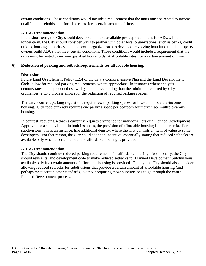certain conditions. Those conditions would include a requirement that the units must be rented to income qualified households, at affordable rates, for a certain amount of time.

#### **AHAC Recommendation**

In the short-term, the City should develop and make available pre-approved plans for ADUs. In the longer-term, the City should consider ways to partner with other local organizations (such as banks, credit unions, housing authorities, and nonprofit organizations) to develop a revolving loan fund to help property owners build ADUs that meet certain conditions. Those conditions would include a requirement that the units must be rented to income qualified households, at affordable rates, for a certain amount of time.

# **6) Reduction of parking and setback requirements for affordable housing.**

# **Discussion**

Future Land Use Element Policy 1.2.4 of the City's Comprehensive Plan and the Land Development Code, allow for reduced parking requirements, where appropriate. In instances where analysis demonstrates that a proposed use will generate less parking than the minimum required by City ordinances, a City process allows for the reduction of required parking spaces.

The City's current parking regulations require fewer parking spaces for low- and moderate-income housing. City code currently requires one parking space per bedroom for market rate multiple-family housing.

In contrast, reducing setbacks currently requires a variance for individual lots or a Planned Development Approval for a subdivision. In both instances, the provision of affordable housing is not a criteria. For subdivisions, this is an instance, like additional density, where the City controls an item of value to some developers. For that reason, the City could adopt an incentive, essentially stating that reduced setbacks are available only when a certain amount of affordable housing is provided.

# **AHAC Recommendation**

The City should continue reduced parking requirements for affordable housing. Additionally, the City should revise its land development code to make reduced setbacks for Planned Development Subdivisions available only if a certain amount of affordable housing is provided. Finally, the City should also consider allowing reduced setbacks for subdivisions that provide a certain amount of affordable housing (and perhaps meet certain other standards), without requiring those subdivisions to go through the entire Planned Development process.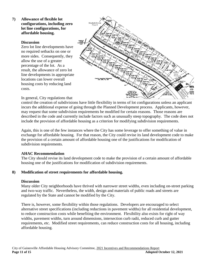#### **7) Allowance of flexible lot configurations, including zero lot line configurations, for affordable housing.**

#### **Discussion**

Zero lot line developments have no required setbacks on one or more sides. Consequently, they allow the use of a greater percentage of the lot. As a result, the allowance of zero lot line developments in appropriate locations can lower overall housing costs by reducing land costs.



In general, City regulations that

control the creation of subdivisions have little flexibility in terms of lot configurations unless an applicant incurs the additional expense of going through the Planned Development process. Applicants, however, may request that some subdivision requirements be modified for certain reasons. Those reasons are described in the code and currently include factors such as unusually steep topography. The code does not include the provision of affordable housing as a criterion for modifying subdivision requirements.

Again, this is one of the few instances where the City has some leverage to offer something of value in exchange for affordable housing. For that reason, the City could revise its land development code to make the provision of a certain amount of affordable housing one of the justifications for modification of subdivision requirements.

#### **AHAC Recommendation**

The City should revise its land development code to make the provision of a certain amount of affordable housing one of the justifications for modification of subdivision requirements.

#### **8) Modification of street requirements for affordable housing.**

#### **Discussion**

Many older City neighborhoods have thrived with narrower street widths, even including on-street parking and two-way traffic. Nevertheless, the width, design and materials of public roads and streets are regulated by the State and cannot be modified by the City.

There is, however, some flexibility within those regulations. Developers are encouraged to select alternative street specifications (including reductions in pavement widths) for all residential development, to reduce construction costs while benefiting the environment. Flexibility also exists for right of way widths, pavement widths, turn around dimensions, intersection curb radii, reduced curb and gutter requirements, etc. Modified street requirements, can reduce construction costs for all housing, including affordable housing.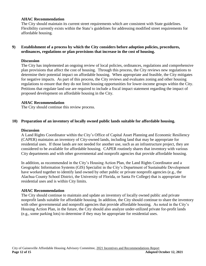#### **AHAC Recommendation**

The City should maintain its current street requirements which are consistent with State guidelines. Flexibility currently exists within the State's guidelines for addressing modified street requirements for affordable housing.

#### **9) Establishment of a process by which the City considers before adoption policies, procedures, ordinances, regulations or plan provisions that increase in the cost of housing.**

#### **Discussion**

The City has implemented an ongoing review of local policies, ordinances, regulations and comprehensive plan provisions that affect the cost of housing. Through this process, the City reviews new regulations to determine their potential impact on affordable housing. When appropriate and feasible, the City mitigates for negative impacts. As part of this process, the City reviews and evaluates zoning and other housing regulations to ensure that they do not limit housing opportunities for lower-income groups within the City. Petitions that regulate land use are required to include a fiscal impact statement regarding the impact of proposed development on affordable housing in the City.

#### **AHAC Recommendation**

The City should continue this review process.

#### **10) Preparation of an inventory of locally owned public lands suitable for affordable housing.**

#### **Discussion**

A Land Rights Coordinator within the City's Office of Capital Asset Planning and Economic Resiliency (CAPER) maintains an inventory of City-owned lands, including land that may be appropriate for residential uses. If those lands are not needed for another use, such as an infrastructure project, they are considered to be available for affordable housing. CAPER routinely shares that inventory with various City departments and with other governmental and nonprofit agencies that provide affordable housing.

In addition, as recommended in the City's Housing Action Plan, the Land Rights Coordinator and a Geographic Information Systems (GIS) Specialist in the City's Department of Sustainable Development have worked together to identify land owned by other public or private nonprofit agencies (e.g., the Alachua County School District, the University of Florida, or Santa Fe College) that is appropriate for residential uses and is within City limits.

#### **AHAC Recommendation**

The City should continue to maintain and update an inventory of locally owned public and private nonprofit lands suitable for affordable housing. In addition, the City should continue to share the inventory with other governmental and nonprofit agencies that provide affordable housing. As noted in the City's Housing Action Plan, in the future, the City should also analyze under-utilized private for-profit lands (e.g., some parking lots) to determine if they may be appropriate for residential uses.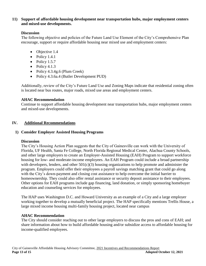#### **11) Support of affordable housing development near transportation hubs, major employment centers and mixed-use developments.**

# **Discussion**

The following objective and policies of the Future Land Use Element of the City's Comprehensive Plan encourage, support or require affordable housing near mixed use and employment centers:

- Objective 1.4
- $\bullet$  Policy 1.4.1
- $\bullet$  Policy 1.5.7
- $\bullet$  Policy 4.1.3
- Policy 4.3.4g.6 (Plum Creek)
- Policy 4.3.6a.4 (Butler Development PUD)

Additionally, review of the City's Future Land Use and Zoning Maps indicate that residential zoning often is located near bus routes, major roads, mixed use areas and employment centers.

# **AHAC Recommendation**

Continue to support affordable housing development near transportation hubs, major employment centers and mixed-use developments.

# **IV. Additional Recommendations**

# **1) Consider Employer Assisted Housing Programs**

#### **Discussion**

The City's Housing Action Plan suggests that the City of Gainesville can work with the University of Florida, UF Health, Santa Fe College, North Florida Regional Medical Center, Alachua County Schools, and other large employers to create an Employer-Assisted Housing (EAH) Program to support workforce housing for low- and moderate-income employees. An EAH Program could include a broad partnership with developers, lenders, and other  $501(c)(3)$  housing organizations to help promote and administer the program. Employers could offer their employees a payroll savings matching grant that could go along with the City's down-payment and closing cost assistance to help overcome the initial barrier to homeownership. They could also offer rental assistance or security deposit assistance to their employees. Other options for EAH programs include gap financing, land donation, or simply sponsoring homebuyer education and counseling services for employees.

The HAP uses Washington D.C. and Howard University as an example of a City and a large employer working together to develop a mutually beneficial project. The HAP specifically mentions Trellis House, a large mixed income housing multi-family housing project, located near campus

# **AHAC Recommendation**

The City should consider reaching out to other large employers to discuss the pros and cons of EAH; and share information about how to build affordable housing and/or subsidize access to affordable housing for income-qualified employees.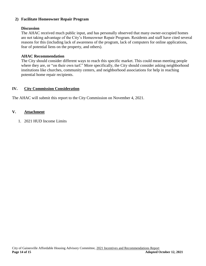#### **2) Facilitate Homeowner Repair Program**

#### **Discussion**

The AHAC received much public input, and has personally observed that many owner-occupied homes are not taking advantage of the City's Homeowner Repair Program. Residents and staff have cited several reasons for this (including lack of awareness of the program, lack of computers for online applications, fear of potential liens on the property, and others).

#### **AHAC Recommendation**

The City should consider different ways to reach this specific market. This could mean meeting people where they are, or "on their own turf." More specifically, the City should consider asking neighborhood institutions like churches, community centers, and neighborhood associations for help in reaching potential home repair recipients.

#### **IV. City Commission Consideration**

The AHAC will submit this report to the City Commission on November 4, 2021.

#### **V. Attachment**

1. 2021 HUD Income Limits